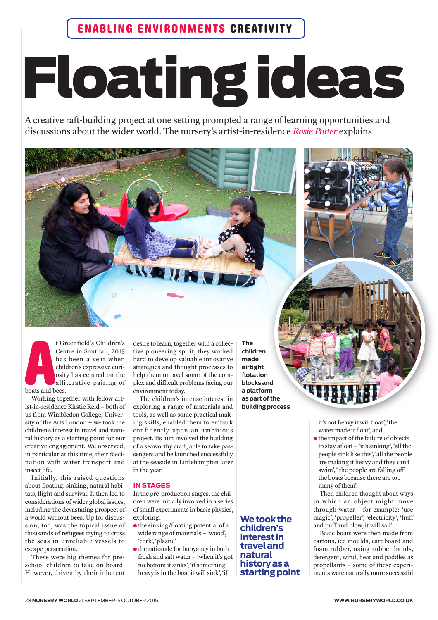## **Floating ideas**

A creative raft-building project at one setting prompted a range of learning opportunities and discussions about the wider world. The nursery's artist-in-residence Rosie Potter explains

t Greenfield's Children's Centre in Southall, 2015 has been a year when children's expressive curiosity has centred on the alliterative pairing of boats and bees.

Working together with fellow artist-in-residence Kirstie Reid - both of us from Wimbledon College, University of the Arts London - we took the children's interest in travel and natural history as a starting point for our creative engagement. We observed, in particular at this time, their fascination with water transport and insect life.

Initially, this raised questions about floating, sinking, natural habitats, flight and survival. It then led to considerations of wider global issues, including the devastating prospect of a world without bees. Up for discussion, too, was the topical issue of thousands of refugees trying to cross the seas in unreliable vessels to escape persecution.

These were big themes for preschool children to take on board. However, driven by their inherent desire to learn, together with a collective pioneering spirit, they worked hard to develop valuable innovative strategies and thought processes to help them unravel some of the complex and difficult problems facing our environment today.

The children's intense interest in exploring a range of materials and tools, as well as some practical making skills, enabled them to embark confidently upon an ambitious project. Its aim involved the building of a seaworthy craft, able to take passengers and be launched successfully at the seaside in Littlehampton later in the vear.

## **IN STAGES**

In the pre-production stages, the children were initially involved in a series of small experiments in basic physics, exploring:

- the sinking/floating potential of a wide range of materials - 'wood', 'cork', 'plastic'
- $\bullet$  the rationale for buoyancy in both fresh and salt water - 'when it's got no bottom it sinks', 'if something heavy is in the boat it will sink', 'if

**The** children made airtight flotation blocks and a platform as part of the building process

We took the children's interest in travel and natural historyasa starting point it's not heavy it will float', 'the water made it float', and

• the impact of the failure of objects to stay afloat - 'it's sinking', 'all the people sink like this', 'all the people are making it heavy and they can't swim', ' the people are falling off the boats because there are too many of them'.

Then children thought about ways in which an object might move through water - for example: 'use magic', 'propeller', 'electricity', 'huff and puff and blow, it will sail'.

Basic boats were then made from cartons, ice moulds, cardboard and foam rubber, using rubber bands, detergent, wind, heat and paddles as propellants - some of these experiments were naturally more successful